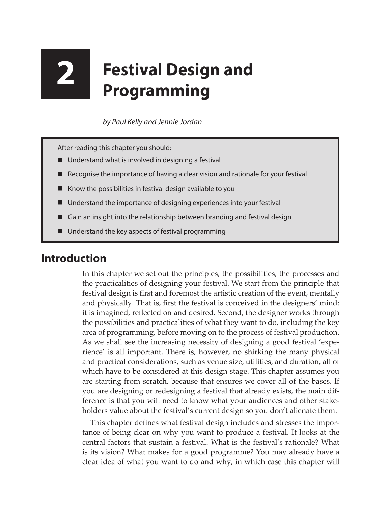# **2 Festival Design and Programming**

*by Paul Kelly and Jennie Jordan*

After reading this chapter you should:

- Understand what is involved in designing a festival
- Recognise the importance of having a clear vision and rationale for your festival
- Know the possibilities in festival design available to you
- Understand the importance of designing experiences into your festival
- Gain an insight into the relationship between branding and festival design
- Understand the key aspects of festival programming

## **Introduction**

In this chapter we set out the principles, the possibilities, the processes and the practicalities of designing your festival. We start from the principle that festival design is first and foremost the artistic creation of the event, mentally and physically. That is, first the festival is conceived in the designers' mind: it is imagined, reflected on and desired. Second, the designer works through the possibilities and practicalities of what they want to do, including the key area of programming, before moving on to the process of festival production. As we shall see the increasing necessity of designing a good festival 'experience' is all important. There is, however, no shirking the many physical and practical considerations, such as venue size, utilities, and duration, all of which have to be considered at this design stage. This chapter assumes you are starting from scratch, because that ensures we cover all of the bases. If you are designing or redesigning a festival that already exists, the main difference is that you will need to know what your audiences and other stakeholders value about the festival's current design so you don't alienate them.

This chapter defines what festival design includes and stresses the importance of being clear on why you want to produce a festival. It looks at the central factors that sustain a festival. What is the festival's rationale? What is its vision? What makes for a good programme? You may already have a clear idea of what you want to do and why, in which case this chapter will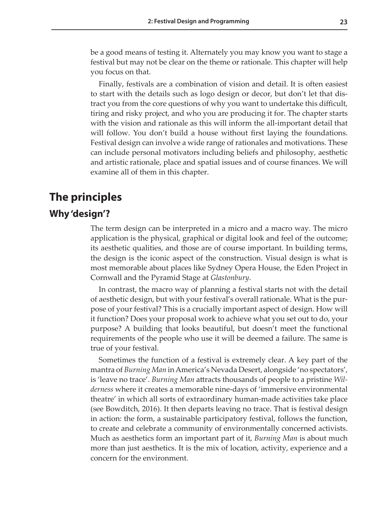be a good means of testing it. Alternately you may know you want to stage a festival but may not be clear on the theme or rationale. This chapter will help you focus on that.

Finally, festivals are a combination of vision and detail. It is often easiest to start with the details such as logo design or decor, but don't let that distract you from the core questions of why you want to undertake this difficult, tiring and risky project, and who you are producing it for. The chapter starts with the vision and rationale as this will inform the all-important detail that will follow. You don't build a house without first laying the foundations. Festival design can involve a wide range of rationales and motivations. These can include personal motivators including beliefs and philosophy, aesthetic and artistic rationale, place and spatial issues and of course finances. We will examine all of them in this chapter.

## **The principles**

#### **Why 'design'?**

The term design can be interpreted in a micro and a macro way. The micro application is the physical, graphical or digital look and feel of the outcome; its aesthetic qualities, and those are of course important. In building terms, the design is the iconic aspect of the construction. Visual design is what is most memorable about places like Sydney Opera House, the Eden Project in Cornwall and the Pyramid Stage at *Glastonbury*.

In contrast, the macro way of planning a festival starts not with the detail of aesthetic design, but with your festival's overall rationale. What is the purpose of your festival? This is a crucially important aspect of design. How will it function? Does your proposal work to achieve what you set out to do, your purpose? A building that looks beautiful, but doesn't meet the functional requirements of the people who use it will be deemed a failure. The same is true of your festival.

Sometimes the function of a festival is extremely clear. A key part of the mantra of *Burning Man* in America's Nevada Desert, alongside 'no spectators', is 'leave no trace'. *Burning Man* attracts thousands of people to a pristine *Wilderness* where it creates a memorable nine-days of 'immersive environmental theatre' in which all sorts of extraordinary human-made activities take place (see Bowditch, 2016). It then departs leaving no trace. That is festival design in action: the form, a sustainable participatory festival, follows the function, to create and celebrate a community of environmentally concerned activists. Much as aesthetics form an important part of it, *Burning Man* is about much more than just aesthetics. It is the mix of location, activity, experience and a concern for the environment.